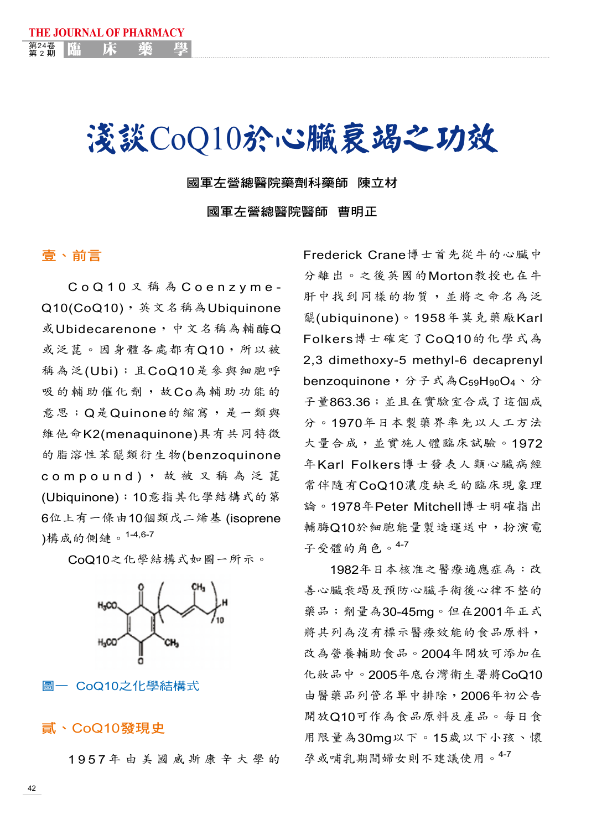# 淺談CoQ10於心臟衰竭之功效

國軍左營總醫院藥劑科藥師 陳立材

國軍左營總醫院醫師 曹明正

#### 壹、前言

**THE JOURNAL OF PHARMACY**

<sup>第24卷</sup> | 臨 床 藥 學

第24卷

C o Q 1 0 又 稱 為 C o e n z y m e - Q10(CoQ10),英文名稱為Ubiquinone 或Ubidecarenone,中文名稱為輔酶Q 或泛菎。因身體各處都有Q10,所以被 稱為泛(Ubi);且CoQ10是參與細胞呼 吸的輔助催化劑,故Co為輔助功能的 意思;Q是Quinone的縮寫,是一類與 維他命K2(menaquinone)具有共同特徵 的脂溶性苯醌類衍生物(benzoquinone c o m p o u n d ) , 故 被 又 稱 為 泛 菎 (Ubiquinone);10意指其化學結構式的第 6位上有一條由10個類戊二烯基 (isoprene )構成的側鏈。1-4,6-7

CoQ10之化學結構式如圖一所示。



#### 圖一 CoQ10之化學結構式

#### 貳、CoQ10發現史

1 9 5 7 年 由 美 國 威 斯 康 辛 大 學 的

Frederick Crane博士首先從牛的心臟中 分離出。之後英國的Morton教授也在牛 肝中找到同樣的物質,並將之命名為泛 <sup>酉</sup><sup>昆</sup> (ubiquinone)。1958年莫克藥廠Karl Folkers博士確定了CoQ10的化學式為 2,3 dimethoxy-5 methyl-6 decaprenyl benzoquinone,分子式為C<sub>59</sub>H<sub>90</sub>O<sub>4</sub>、分 子量863.36;並且在實驗室合成了這個成 分。1970年日本製藥界率先以人工方法 大量合成,並實施人體臨床試驗。1972 年Karl Folkers博士發表人類心臟病經 常伴隨有CoQ10濃度缺乏的臨床現象理 論。1978年Peter Mitchell博士明確指出 輔脢Q10於細胞能量製造運送中,扮演電 子受體的角色。4-7

1982年日本核准之醫療適應症為:改 善心臟衰竭及預防心臟手術後心律不整的 藥品;劑量為30-45mg。但在2001年正式 將其列為沒有標示醫療效能的食品原料, 改為營養輔助食品。2004年開放可添加在 化妝品中。2005年底台灣衛生署將CoQ10 由醫藥品列管名單中排除,2006年初公告 開放Q10可作為食品原料及產品。每日食 用限量為30mg以下。15歲以下小孩、懷 孕或哺乳期間婦女則不建議使用。4-7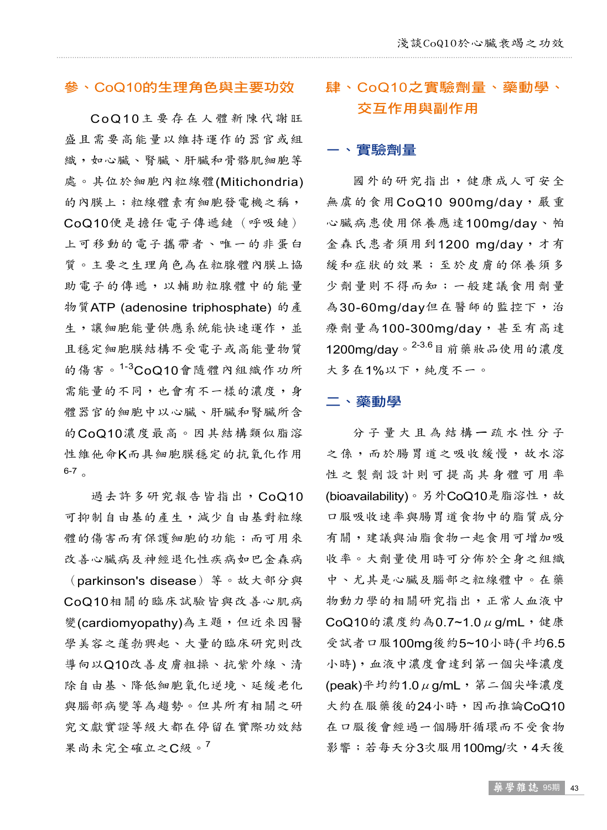#### 參、CoQ10的生理角色與主要功效

CoQ10主要存在人體新陳代謝旺 盛且需要高能量以維持運作的器官或組 織,如心臟、腎臟、肝臟和骨骼肌細胞等 處。其位於細胞內粒線體(Mitichondria) 的內膜上;粒線體素有細胞發電機之稱, CoQ10便是擔任電子傳遞鏈(呼吸鏈) 上可移動的電子攜帶者、唯一的非蛋白 質。主要之生理角色為在粒腺體內膜上協 助電子的傳遞,以輔助粒腺體中的能量 物質ATP (adenosine triphosphate) 的產 生,讓細胞能量供應系統能快速運作,並 且穩定細胞膜結構不受電子或高能量物質 的傷害。1-3 CoQ10會隨體內組織作功所 需能量的不同,也會有不一樣的濃度,身 體器官的細胞中以心臟、肝臟和腎臟所含 的CoQ10濃度最高。因其結構類似脂溶 性維他命K而具細胞膜穩定的抗氧化作用 6-7 。

過去許多研究報告皆指出,CoQ10 可抑制自由基的產生,減少自由基對粒線 體的傷害而有保護細胞的功能;而可用來 改善心臟病及神經退化性疾病如巴金森病 (parkinson's disease)等。故大部分與 CoQ10相關的臨床試驗皆與改善心肌病 變(cardiomyopathy)為主題,但近來因醫 學美容之蓬勃興起、大量的臨床研究則改 導向以Q10改善皮膚粗操、抗紫外線、清 除自由基、降低細胞氧化逆境、延緩老化 與腦部病變等為趨勢。但其所有相關之研 究文獻實證等級大都在停留在實際功效結 果尚未完全確立之C級。<sup>7</sup>

### 肆、CoQ10之實驗劑量、藥動學、 交互作用與副作用

#### ㄧ、實驗劑量

國外的研究指出,健康成人可安全 無虞的食用CoQ10 900mg/day,嚴重 心臟病患使用保養應達100mg/day、帕 金森氏患者須用到1200 mg/day, 才有 緩和症狀的效果;至於皮膚的保養須多 少劑量則不得而知;一般建議食用劑量 為30-60mg/day但在醫師的監控下,治 療劑量為100-300mg/day,甚至有高達 1200mg/day。<sup>2-3.6</sup>目前藥妝品使用的濃度 大多在1%以下,純度不一。

#### 二、藥動學

分子量大且為結構ㄧ疏水性分子 之係,而於腸胃道之吸收緩慢,故水溶 性之製劑設計則可提高其身體可用率 (bioavailability)。另外CoQ10是脂溶性,故 口服吸收速率與腸胃道食物中的脂質成分 有關,建議與油脂食物一起食用可增加吸 收率。大劑量使用時可分佈於全身之組織 中、尤其是心臟及腦部之粒線體中。在藥 物動力學的相關研究指出,正常人血液中 CoQ10的濃度約為0.7~1.0μg/mL,健康 受試者口服100mg後約5~10小時(平均6.5 小時),血液中濃度會達到第一個尖峰濃度 (peak)平均約1.0μg/mL,第二個尖峰濃度 大約在服藥後的24小時,因而推論CoQ10 在口服後會經過一個腸肝循環而不受食物 影響;若每天分3次服用100mg/次,4天後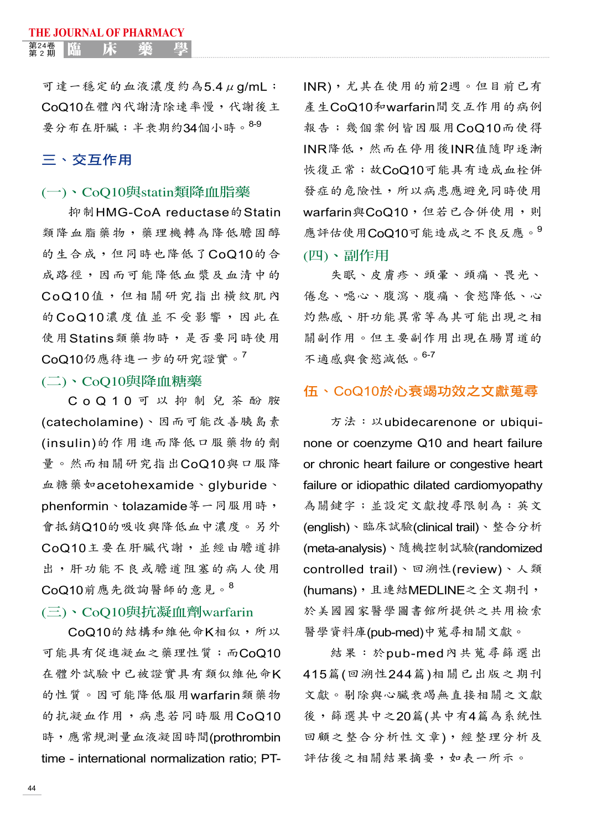<sub>第2期</sub> | 臨 床 藥 學

可達一穩定的血液濃度約為5.4μg/mL; CoQ10在體內代謝清除速率慢,代謝後主 要分布在肝臟;半衰期約34個小時。8-9

#### 三、交互作用

#### (一)、CoQ10與statin類降血脂藥

抑制HMG-CoA reductase的Statin 類降血脂藥物,藥理機轉為降低膽固醇 的生合成,但同時也降低了CoQ10的合 成路徑,因而可能降低血漿及血清中的 CoQ10值,但相關研究指出橫紋肌內 的CoQ10濃度值並不受影響,因此在 使用Statins類藥物時,是否要同時使用 CoQ10仍應待進一步的研究證實。<sup>7</sup>

#### (二)、CoQ10與降血糖藥

C o Q 1 0 可 以 抑 制 兒 茶 酚 胺 (catecholamine)、因而可能改善胰島素 (insulin)的作用進而降低口服藥物的劑 量。然而相關研究指出CoQ10與口服降 血糖藥如acetohexamide、glyburide、 phenformin、tolazamide等一同服用時, 會抵銷Q10的吸收與降低血中濃度。另外 CoQ10主要在肝臟代謝,並經由膽道排 出,肝功能不良或膽道阻塞的病人使用 CoQ10前應先徵詢醫師的意見。<sup>8</sup>

#### (三)、CoQ10與抗凝血劑warfarin

CoQ10的結構和維他命K相似,所以 可能具有促進凝血之藥理性質;而CoQ10 在體外試驗中已被證實具有類似維他命K 的性質。因可能降低服用warfarin類藥物 的抗凝血作用,病患若同時服用CoQ10 時,應常規測量血液凝固時間(prothrombin time - international normalization ratio; PT- INR),尤其在使用的前2週。但目前已有 產生CoQ10和warfarin間交互作用的病例 報告;幾個案例皆因服用CoQ10而使得 INR降低,然而在停用後INR值隨即逐漸 恢復正常;故CoQ10可能具有造成血栓併 發症的危險性,所以病患應避免同時使用 warfarin與CoQ10,但若已合併使用,則 應評估使用CoQ10可能造成之不良反應。9 (四)、副作用

失眠、皮膚疹、頭暈、頭痛、畏光、 倦怠、噁心、腹瀉、腹痛、食慾降低、心 灼熱感、肝功能異常等為其可能出現之相 關副作用。但主要副作用出現在腸胃道的 不適感與食慾減低。6-7

#### 伍、CoQ10於心衰竭功效之文獻蒐尋

方法:以ubidecarenone or ubiquinone or coenzyme Q10 and heart failure or chronic heart failure or congestive heart failure or idiopathic dilated cardiomyopathy 為關鍵字;並設定文獻搜尋限制為:英文 (english)、臨床試驗(clinical trail)、整合分析 (meta-analysis)、隨機控制試驗(randomized controlled trail)、回溯性(review)、人類 (humans),且連結MEDLINE之全文期刊, 於美國國家醫學圖書館所提供之共用檢索 醫學資料庫(pub-med)中蒐尋相關文獻。

結果:於pub-med內共蒐尋篩選出 415篇(回溯性244篇)相關已出版之期刊 文獻。剔除與心臟衰竭無直接相關之文獻 後,篩選其中之20篇(其中有4篇為系統性 回顧之整合分析性文章),經整理分析及 評估後之相關結果摘要,如表一所示。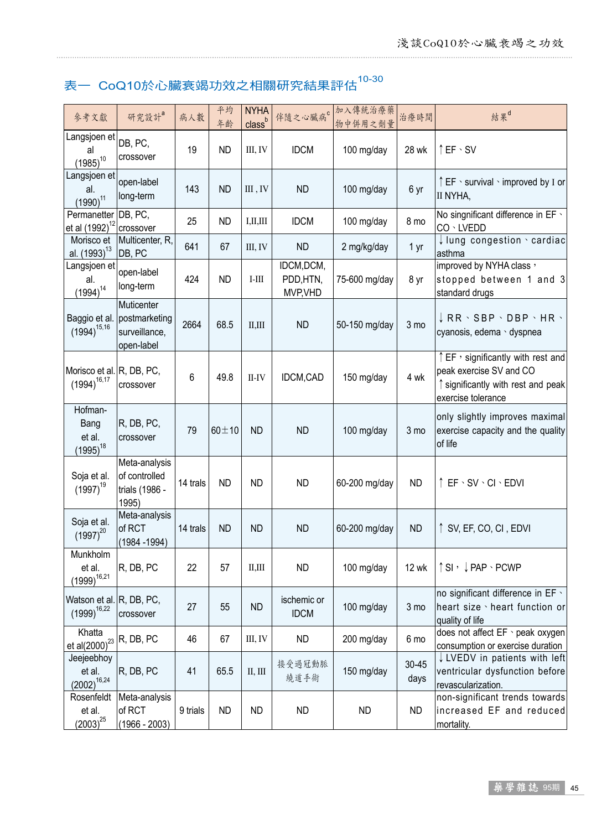## 表一  $CoQ10$ 於心臟衰竭功效之相關研究結果評估 $^{10\text{-}30}$

| 參考文獻                                              | 研究設計a                                                      | 病人數      | 平均<br>年齢    | <b>NYHA</b><br>class <sup>b</sup> | 伴隨之心臟病 <sup>。</sup>                 | 加入傳統治療藥<br>物中併用之劑量 | 治療時間              | 結果 <sup>d</sup>                                                                                                        |
|---------------------------------------------------|------------------------------------------------------------|----------|-------------|-----------------------------------|-------------------------------------|--------------------|-------------------|------------------------------------------------------------------------------------------------------------------------|
| Langsjoen et<br>al<br>$(1985)^{10}$               | DB, PC,<br>crossover                                       | 19       | <b>ND</b>   | III, IV                           | <b>IDCM</b>                         | 100 mg/day         | 28 wk             | $\uparrow$ EF $\cdot$ SV                                                                                               |
| Langsjoen et<br>al.<br>$(1990)^{11}$              | open-label<br>long-term                                    | 143      | <b>ND</b>   | III, IV                           | <b>ND</b>                           | 100 mg/day         | 6 yr              | ↑ EF · survival · improved by I or<br>II NYHA,                                                                         |
| Permanetter DB, PC,<br>et al (1992) <sup>12</sup> | crossover                                                  | 25       | <b>ND</b>   | I, II, III                        | <b>IDCM</b>                         | 100 mg/day         | 8 mo              | No singnificant difference in EF \<br>CO · LVEDD                                                                       |
| Morisco et<br>al. (1993) <sup>13</sup>            | Multicenter, R,<br>DB, PC                                  | 641      | 67          | III, IV                           | <b>ND</b>                           | 2 mg/kg/day        | 1 yr              | $\downarrow$ lung congestion $\cdot$ cardiac<br>asthma                                                                 |
| Langsjoen et<br>al.<br>$(1994)^{14}$              | open-label<br>long-term                                    | 424      | <b>ND</b>   | $I-III$                           | IDCM, DCM,<br>PDD, HTN,<br>MVP, VHD | 75-600 mg/day      | 8 yr              | improved by NYHA class,<br>stopped between 1 and 3<br>standard drugs                                                   |
| Baggio et al.<br>$(1994)^{15,16}$                 | Muticenter<br>postmarketing<br>surveillance,<br>open-label | 2664     | 68.5        | II, III                           | <b>ND</b>                           | 50-150 mg/day      | 3 mo              | $\downarrow$ RR $\cdot$ SBP $\cdot$ DBP $\cdot$ HR $\cdot$<br>cyanosis, edema · dyspnea                                |
| Morisco et al. R, DB, PC,<br>$(1994)^{16,17}$     | crossover                                                  | 6        | 49.8        | $II$ - $IV$                       | IDCM,CAD                            | 150 mg/day         | 4 wk              | EF, significantly with rest and<br>peak exercise SV and CO<br>↑ significantly with rest and peak<br>exercise tolerance |
| Hofman-<br>Bang<br>et al.<br>$(1995)^{18}$        | R, DB, PC,<br>crossover                                    | 79       | $60 \pm 10$ | <b>ND</b>                         | <b>ND</b>                           | 100 mg/day         | 3 mo              | only slightly improves maximal<br>exercise capacity and the quality<br>of life                                         |
| Soja et al.<br>$(1997)^{19}$                      | Meta-analysis<br>of controlled<br>trials (1986 -<br>1995)  | 14 trals | <b>ND</b>   | <b>ND</b>                         | <b>ND</b>                           | 60-200 mg/day      | <b>ND</b>         | ↑ EF 、 SV 、 CI 、 EDVI                                                                                                  |
| Soja et al.<br>$(1997)^{20}$                      | Meta-analysis<br>of RCT<br>$(1984 - 1994)$                 | 14 trals | <b>ND</b>   | <b>ND</b>                         | <b>ND</b>                           | 60-200 mg/day      | <b>ND</b>         | ↑ SV, EF, CO, CI, EDVI                                                                                                 |
| Munkholm<br>et al.<br>$(1999)^{16,21}$            | R, DB, PC                                                  | 22       | 57          | II.III                            | <b>ND</b>                           | 100 mg/day         | <b>12 wk</b>      | ↑ SI , ↓ PAP 、 PCWP                                                                                                    |
| Watson et al. R, DB, PC,<br>$(1999)^{16,22}$      | crossover                                                  | 27       | 55          | ND                                | ischemic or<br><b>IDCM</b>          | 100 mg/day         | $3 \text{ mo}$    | no significant difference in EF \<br>heart size \ heart function or<br>quality of life                                 |
| Khatta<br>et al(2000) <sup>23</sup>               | R, DB, PC                                                  | 46       | 67          | III, IV                           | <b>ND</b>                           | 200 mg/day         | 6 mo              | does not affect EF · peak oxygen<br>consumption or exercise duration                                                   |
| Jeejeebhoy<br>et al.<br>$(2002)^{16,24}$          | R, DB, PC                                                  | 41       | 65.5        | $\rm II,\, \rm III$               | 接受過冠動脈<br>繞道手術                      | 150 mg/day         | $30 - 45$<br>days | ↓ LVEDV in patients with left<br>ventricular dysfunction before<br>revascularization.                                  |
| Rosenfeldt<br>et al.<br>$(2003)^{25}$             | Meta-analysis<br>of RCT<br>$(1966 - 2003)$                 | 9 trials | <b>ND</b>   | <b>ND</b>                         | <b>ND</b>                           | <b>ND</b>          | <b>ND</b>         | non-significant trends towards<br>increased EF and reduced<br>mortality.                                               |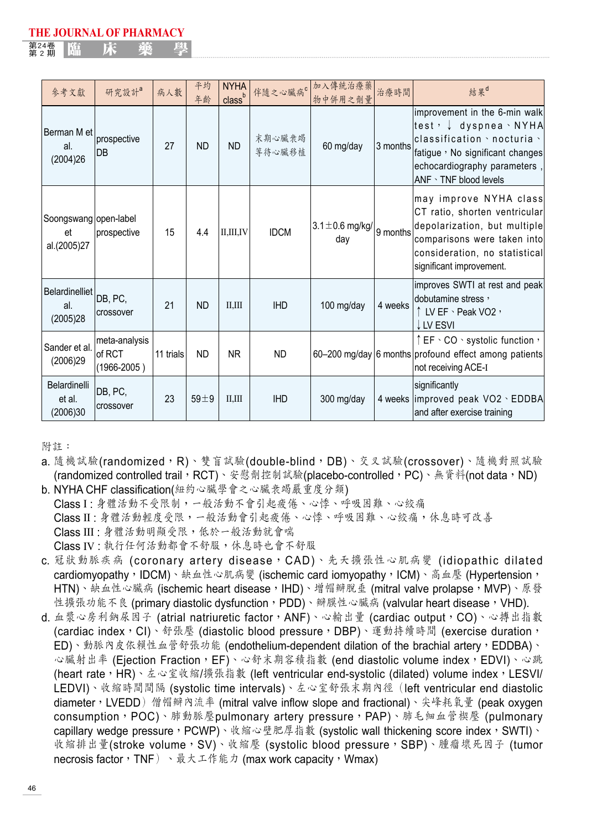第24卷<br>第2期 <sup>第24卷</sup> | 臨 床 藥 學

| 參考文獻                                         | 研究設計a                                      | 病人數       | 平均<br>年齡   | <b>NYHA</b><br>class <sup>b</sup> |                  | 伴隨之心臟病。加入傳統治療藥<br>物中併用之劑量   | 治療時間     | 結果d                                                                                                                                                                                                                |
|----------------------------------------------|--------------------------------------------|-----------|------------|-----------------------------------|------------------|-----------------------------|----------|--------------------------------------------------------------------------------------------------------------------------------------------------------------------------------------------------------------------|
| Berman M et<br>al.<br>(2004)26               | prospective<br>DB                          | 27        | <b>ND</b>  | <b>ND</b>                         | 末期心臟衰竭<br>等待心臟移植 | 60 mg/day                   | 3 months | improvement in the 6-min walk<br> test, ↓ dyspnea 、 NYHA<br>$ {\sf classification} \cdot {\sf nocturia} \cdot$<br>fatigue , No significant changes<br>echocardiography parameters,<br>$ANF \cdot TNF$ blood levels |
| Soongswang   open-label<br>et<br>al.(2005)27 | prospective                                | 15        | 4.4        | <b>II.III.IV</b>                  | <b>IDCM</b>      | $3.1 \pm 0.6$ mg/kg/<br>day | 9 months | may improve NYHA class<br>CT ratio, shorten ventricular<br>depolarization, but multiple<br>comparisons were taken into<br>consideration, no statistical<br>significant improvement.                                |
| Belardinelliet DB, PC,<br>al.<br>(2005)28    | crossover                                  | 21        | <b>ND</b>  | II.III                            | <b>IHD</b>       | 100 mg/day                  | 4 weeks  | improves SWTI at rest and peak<br>ldobutamine stress,<br>↑LV EF 、Peak VO2,<br>J LV ESVI                                                                                                                            |
| Sander et al.<br>(2006)29                    | meta-analysis<br>of RCT<br>$(1966 - 2005)$ | 11 trials | <b>ND</b>  | <b>NR</b>                         | <b>ND</b>        |                             |          | $\uparrow$ EF $\cdot$ CO $\cdot$ systolic function $\cdot$<br>60-200 mg/day 6 months profound effect among patients<br>not receiving ACE-I                                                                         |
| Belardinelli<br>et al.<br>(2006)30           | DB, PC,<br>crossover                       | 23        | $59 \pm 9$ | II.III                            | <b>IHD</b>       | 300 mg/day                  |          | significantly<br>4 weeks improved peak VO2 \ EDDBA<br>and after exercise training                                                                                                                                  |

附註:

a. 隨機試驗(randomized,R)、雙盲試驗(double-blind,DB)、交叉試驗(crossover)、隨機對照試驗 (randomized controlled trail,RCT)、安慰劑控制試驗(placebo-controlled,PC)、無資料(not data,ND)

- b. NYHA CHF classification(紐約心臟學會之心臟衰竭嚴重度分類) Class I : 身體活動不受限制,一般活動不會引起疲倦、心悸、呼吸困難、心絞痛 Class II : 身體活動輕度受限,一般活動會引起疲倦、心悸、呼吸困難、心絞痛,休息時可改善 Class III : 身體活動明顯受限,低於一般活動就會喘 Class IV : 執行任何活動都會不舒服,休息時也會不舒服
- c. 冠狀動脈疾病 (coronary artery disease, CAD)、先天擴張性心肌病變 (idiopathic dilated cardiomyopathy, IDCM)、缺血性心肌病變 (ischemic card iomyopathy, ICM)、高血壓 (Hypertension, HTN)、缺血性心臟病 (ischemic heart disease,IHD)、增帽瓣脫垂 (mitral valve prolapse,MVP)、原發 性擴張功能不良 (primary diastolic dysfunction, PDD)、瓣膜性心臟病 (valvular heart disease, VHD).
- d. 血漿心房利鈉尿因子 (atrial natriuretic factor, ANF)、心輸出量 (cardiac output, CO)、心搏出指數 (cardiac index, CI)、舒張壓 (diastolic blood pressure, DBP)、運動持續時間 (exercise duration, ED)、動脈內皮依賴性血管舒張功能 (endothelium-dependent dilation of the brachial artery,EDDBA)、 心臟射出率 (Ejection Fraction, EF)、心舒末期容積指數 (end diastolic volume index, EDVI)、心跳 (heart rate, HR)、左心室收縮/擴張指數 (left ventricular end-systolic (dilated) volume index, LESVI/ LEDVI)、收縮時間間隔 (systolic time intervals)、左心室舒張末期內徑(left ventricular end diastolic diameter, LVEDD)僧帽辯內流率 (mitral valve inflow slope and fractional)、尖峰耗氧量 (peak oxygen consumption, POC)、肺動脈壓pulmonary artery pressure, PAP)、肺毛細血管楔壓 (pulmonary capillary wedge pressure, PCWP)、收縮心壁肥厚指數 (systolic wall thickening score index, SWTI)、 收縮排出量(stroke volume,SV)、收縮壓 (systolic blood pressure,SBP)、腫瘤壞死因子 (tumor necrosis factor, TNF)、最大工作能力 (max work capacity, Wmax)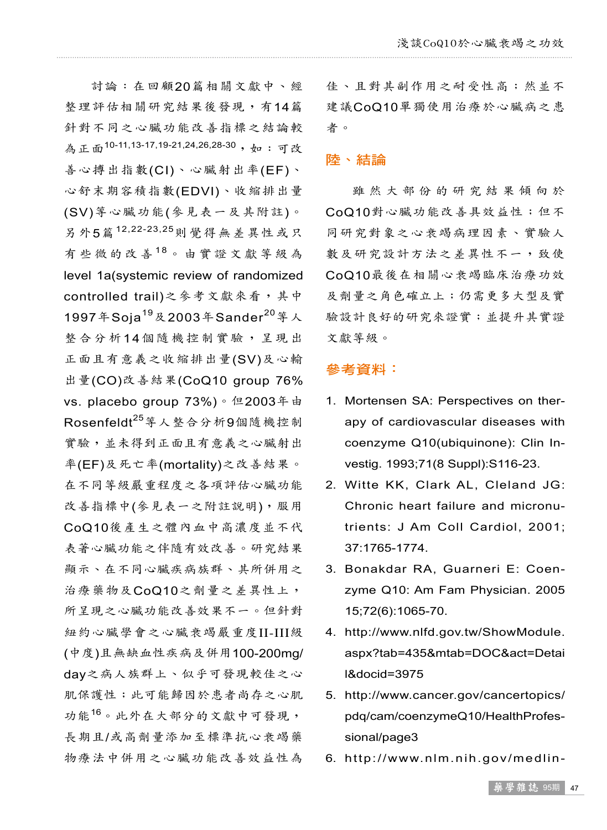討論:在回顧20篇相關文獻中、經 整理評估相關研究結果後發現,有14篇 針對不同之心臟功能改善指標之結論較 為正面<sup>10-11,13-17,19-21,24,26,28-30 ,如:可改</sup> 善心搏出指數(CI)、心臟射出率(EF)、 心舒末期容積指數(EDVI)、收縮排出量 (SV)等心臟功能(參見表一及其附註)。 另外5篇<sup>12,22-23,25</sup>則覺得無差異性或只 有些微的改善18。由實證文獻等級為 level 1a(systemic review of randomized controlled trail)之參考文獻來看,其中 1997年Soja<sup>19</sup>及2003年Sander<sup>20</sup>等人 整合分析14個隨機控制實驗,呈現出 正面且有意義之收縮排出量(SV)及心輸 出量(CO)改善結果(CoQ10 group 76% vs. placebo group 73%)。但2003年由 Rosenfeldt<sup>25</sup>等人整合分析9個隨機控制 實驗,並未得到正面且有意義之心臟射出 率(EF)及死亡率(mortality)之改善結果。 在不同等級嚴重程度之各項評估心臟功能 改善指標中(參見表一之附註說明),服用 CoQ10後產生之體內血中高濃度並不代 表著心臟功能之伴隨有效改善。研究結果 顯示、在不同心臟疾病族群、其所併用之 治療藥物及CoQ10之劑量之差異性上, 所呈現之心臟功能改善效果不一。但針對 紐約心臟學會之心臟衰竭嚴重度II-III級 (中度)且無缺血性疾病及併用100-200mg/ day之病人族群上、似乎可發現較佳之心 肌保護性;此可能歸因於患者尚存之心肌 功能<sup>16</sup> 。此外在大部分的文獻中可發現, 長期且/或高劑量添加至標準抗心衰竭藥 物療法中併用之心臟功能改善效益性為

佳、且對其副作用之耐受性高;然並不 建議CoQ10單獨使用治療於心臟病之患 者。

#### 陸、結論

雖 然 大 部 份 的 研 究 結 果 傾 向 於 CoQ10對心臟功能改善具效益性;但不 同研究對象之心衰竭病理因素、實驗人 數及研究設計方法之差異性不一,致使 CoQ10最後在相關心衰竭臨床治療功效 及劑量之角色確立上;仍需更多大型及實 驗設計良好的研究來證實;並提升其實證 文獻等級。

#### 參考資料:

- 1. Mortensen SA: Perspectives on therapy of cardiovascular diseases with coenzyme Q10(ubiquinone): Clin Investig. 1993;71(8 Suppl):S116-23.
- 2. Witte KK, Clark AL, Cleland JG: Chronic heart failure and micronutrients: J Am Coll Cardiol, 2001; 37:1765-1774.
- 3. Bonakdar RA, Guarneri E: Coenzyme Q10: Am Fam Physician. 2005 15;72(6):1065-70.
- 4. http://www.nlfd.gov.tw/ShowModule. aspx?tab=435&mtab=DOC&act=Detai l&docid=3975
- 5. http://www.cancer.gov/cancertopics/ pdq/cam/coenzymeQ10/HealthProfessional/page3
- 6. http://www.nlm.nih.gov/medlin-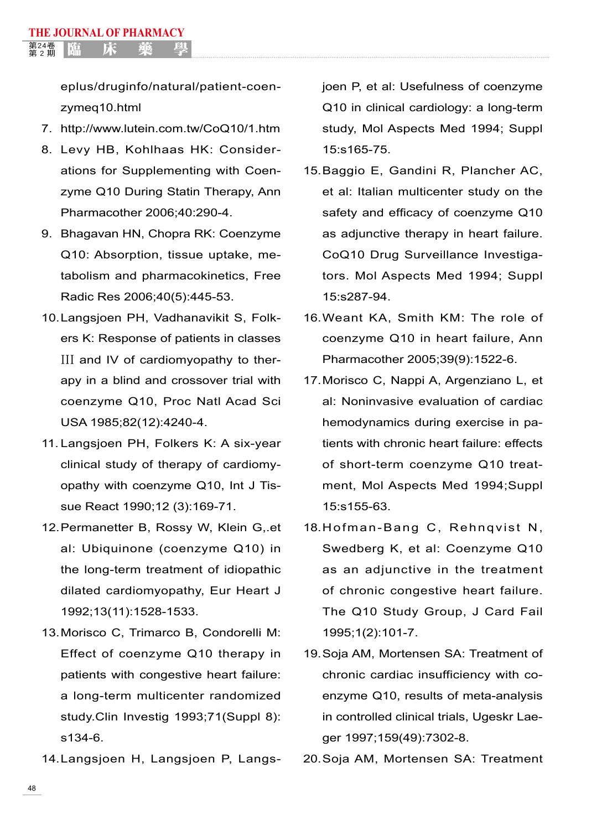eplus/druginfo/natural/patient-coenzymeq10.html

- 7. http://www.lutein.com.tw/CoQ10/1.htm
- 8. Levy HB, Kohlhaas HK: Considerations for Supplementing with Coenzyme Q10 During Statin Therapy, Ann Pharmacother 2006;40:290-4.
- 9. Bhagavan HN, Chopra RK: Coenzyme Q10: Absorption, tissue uptake, metabolism and pharmacokinetics, Free Radic Res 2006;40(5):445-53.
- 10.Langsjoen PH, Vadhanavikit S, Folkers K: Response of patients in classes III and IV of cardiomyopathy to therapy in a blind and crossover trial with coenzyme Q10, Proc Natl Acad Sci USA 1985;82(12):4240-4.
- 11. Langsjoen PH, Folkers K: A six-year clinical study of therapy of cardiomyopathy with coenzyme Q10, Int J Tissue React 1990;12 (3):169-71.
- 12.Permanetter B, Rossy W, Klein G,.et al: Ubiquinone (coenzyme Q10) in the long-term treatment of idiopathic dilated cardiomyopathy, Eur Heart J 1992;13(11):1528-1533.
- 13.Morisco C, Trimarco B, Condorelli M: Effect of coenzyme Q10 therapy in patients with congestive heart failure: a long-term multicenter randomized study.Clin Investig 1993;71(Suppl 8): s134-6.
- 14.Langsjoen H, Langsjoen P, Langs-

joen P, et al: Usefulness of coenzyme Q10 in clinical cardiology: a long-term study, Mol Aspects Med 1994; Suppl 15:s165-75.

- 15.Baggio E, Gandini R, Plancher AC, et al: Italian multicenter study on the safety and efficacy of coenzyme Q10 as adjunctive therapy in heart failure. CoQ10 Drug Surveillance Investigators. Mol Aspects Med 1994; Suppl 15:s287-94.
- 16.Weant KA, Smith KM: The role of coenzyme Q10 in heart failure, Ann Pharmacother 2005;39(9):1522-6.
- 17.Morisco C, Nappi A, Argenziano L, et al: Noninvasive evaluation of cardiac hemodynamics during exercise in patients with chronic heart failure: effects of short-term coenzyme Q10 treatment, Mol Aspects Med 1994;Suppl 15:s155-63.
- 18. Hofman-Bang C, Rehnqvist N, Swedberg K, et al: Coenzyme Q10 as an adjunctive in the treatment of chronic congestive heart failure. The Q10 Study Group, J Card Fail 1995;1(2):101-7.
- 19.Soja AM, Mortensen SA: Treatment of chronic cardiac insufficiency with coenzyme Q10, results of meta-analysis in controlled clinical trials, Ugeskr Laeger 1997;159(49):7302-8.
- 20.Soja AM, Mortensen SA: Treatment